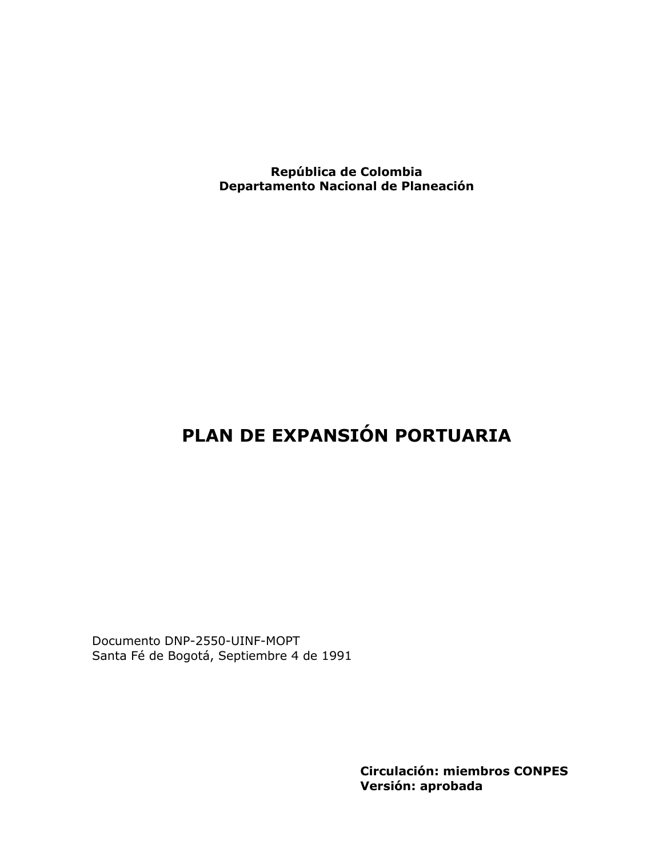República de Colombia Departamento Nacional de Planeación

## PLAN DE EXPANSIÓN PORTUARIA

Documento DNP-2550-UINF-MOPT Santa Fé de Bogotá, Septiembre 4 de 1991

> **Circulación: miembros CONPES** Versión: aprobada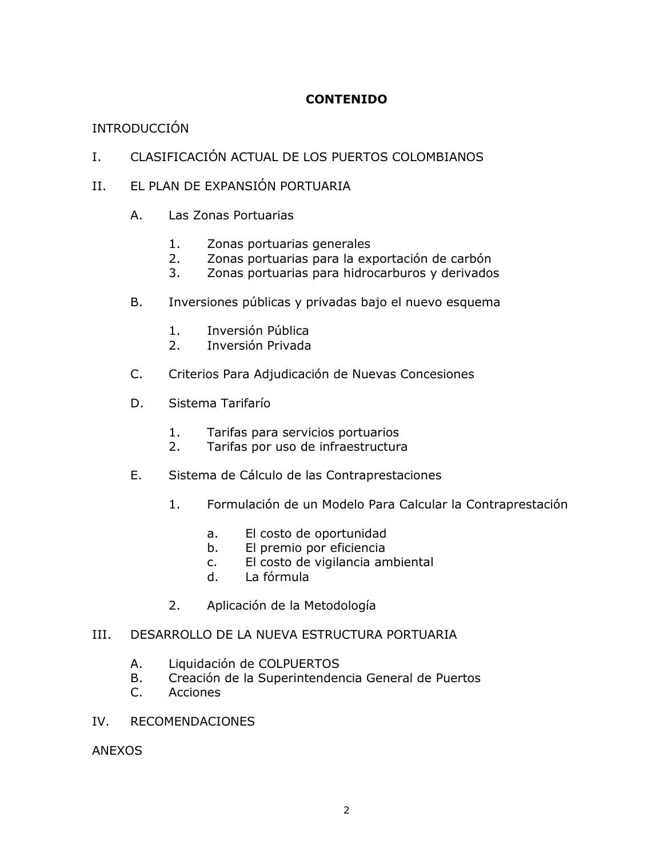## **CONTENIDO**

## **INTRODUCCIÓN**

- CLASIFICACIÓN ACTUAL DE LOS PUERTOS COLOMBIANOS  $I_{\cdot}$
- EL PLAN DE EXPANSIÓN PORTUARIA  $II.$ 
	- A. Las Zonas Portuarias
		- $1.$ Zonas portuarias generales
		- Zonas portuarias para la exportación de carbón  $2.$
		- Zonas portuarias para hidrocarburos y derivados  $3.$
	- Inversiones públicas y privadas bajo el nuevo esquema **B.** 
		- $1.$ Inversión Pública
		- $2.$ Inversión Privada
	- $C_{\cdot}$ Criterios Para Adjudicación de Nuevas Concesiones
	- Sistema Tarifarío D.
		- $1.$ Tarifas para servicios portuarios
		- $2.$ Tarifas por uso de infraestructura
	- E. Sistema de Cálculo de las Contraprestaciones
		- Formulación de un Modelo Para Calcular la Contraprestación  $1.$ 
			- El costo de oportunidad a.
			- El premio por eficiencia  $b.$
			- El costo de vigilancia ambiental  $C<sub>1</sub>$
			- $d_{-}$ La fórmula
		- $2.$ Aplicación de la Metodología

#### DESARROLLO DE LA NUEVA ESTRUCTURA PORTUARIA III.

- А. Liquidación de COLPUERTOS
- Creación de la Superintendencia General de Puertos **B.**
- **Acciones**  $C_{\cdot}$
- $IV.$ **RECOMENDACIONES**

**ANEXOS**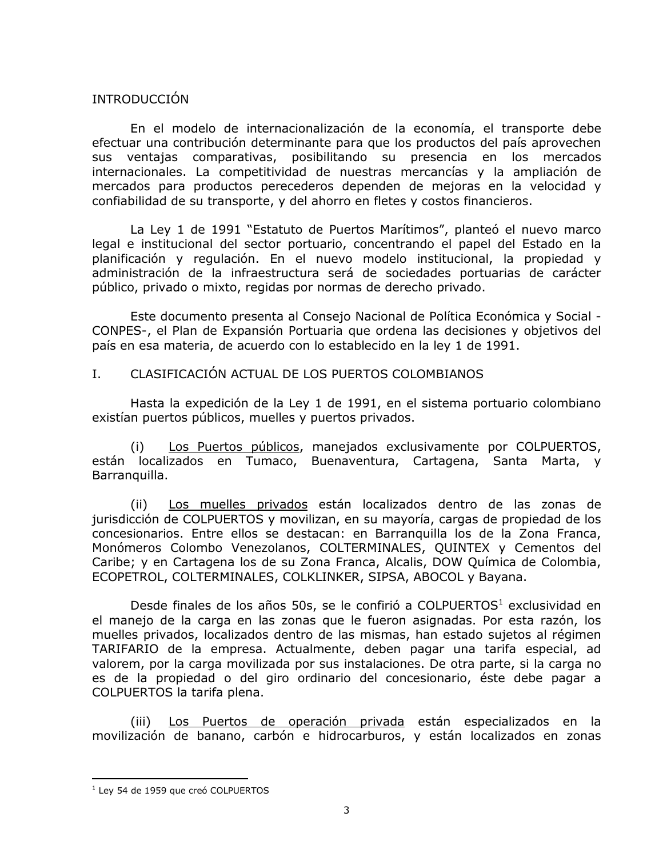## **INTRODUCCIÓN**

En el modelo de internacionalización de la economía, el transporte debe efectuar una contribución determinante para que los productos del país aprovechen sus ventajas comparativas, posibilitando su presencia en los mercados internacionales. La competitividad de nuestras mercancías y la ampliación de mercados para productos perecederos dependen de mejoras en la velocidad y confiabilidad de su transporte, y del ahorro en fletes y costos financieros.

La Ley 1 de 1991 "Estatuto de Puertos Marítimos", planteó el nuevo marco legal e institucional del sector portuario, concentrando el papel del Estado en la planificación y regulación. En el nuevo modelo institucional, la propiedad y administración de la infraestructura será de sociedades portuarias de carácter público, privado o mixto, regidas por normas de derecho privado.

Este documento presenta al Consejo Nacional de Política Económica y Social -CONPES-, el Plan de Expansión Portuaria que ordena las decisiones y objetivos del país en esa materia, de acuerdo con lo establecido en la ley 1 de 1991.

#### $I_{\cdot}$ CLASIFICACIÓN ACTUAL DE LOS PUERTOS COLOMBIANOS

Hasta la expedición de la Ley 1 de 1991, en el sistema portuario colombiano existían puertos públicos, muelles y puertos privados.

Los Puertos públicos, manejados exclusivamente por COLPUERTOS,  $(i)$ están localizados en Tumaco, Buenaventura, Cartagena, Santa Marta, y Barranquilla.

Los muelles privados están localizados dentro de las zonas de  $(ii)$ jurisdicción de COLPUERTOS y movilizan, en su mayoría, cargas de propiedad de los concesionarios. Entre ellos se destacan: en Barranguilla los de la Zona Franca, Monómeros Colombo Venezolanos, COLTERMINALES, QUINTEX y Cementos del Caribe; y en Cartagena los de su Zona Franca, Alcalis, DOW Química de Colombia, ECOPETROL, COLTERMINALES, COLKLINKER, SIPSA, ABOCOL y Bayana.

Desde finales de los años 50s, se le confirió a COLPUERTOS<sup>1</sup> exclusividad en el manejo de la carga en las zonas que le fueron asignadas. Por esta razón, los muelles privados, localizados dentro de las mismas, han estado sujetos al régimen TARIFARIO de la empresa. Actualmente, deben pagar una tarifa especial, ad valorem, por la carga movilizada por sus instalaciones. De otra parte, si la carga no es de la propiedad o del giro ordinario del concesionario, éste debe pagar a COLPUERTOS la tarifa plena.

Los Puertos de operación privada están especializados en la  $(iii)$ movilización de banano, carbón e hidrocarburos, y están localizados en zonas

<sup>&</sup>lt;sup>1</sup> Ley 54 de 1959 que creó COLPUERTOS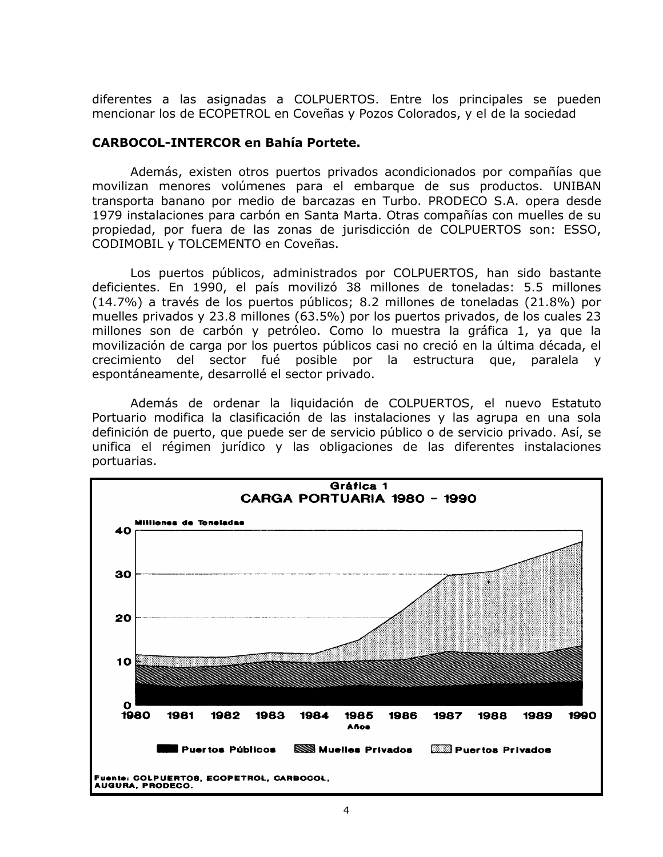diferentes a las asignadas a COLPUERTOS. Entre los principales se pueden mencionar los de ECOPETROL en Coveñas y Pozos Colorados, y el de la sociedad

## **CARBOCOL-INTERCOR en Bahía Portete.**

Además, existen otros puertos privados acondicionados por compañías que movilizan menores volúmenes para el embarque de sus productos. UNIBAN transporta banano por medio de barcazas en Turbo. PRODECO S.A. opera desde 1979 instalaciones para carbón en Santa Marta. Otras compañías con muelles de su propiedad, por fuera de las zonas de jurisdicción de COLPUERTOS son: ESSO, CODIMOBIL y TOLCEMENTO en Coveñas.

Los puertos públicos, administrados por COLPUERTOS, han sido bastante deficientes. En 1990, el país movilizó 38 millones de toneladas: 5.5 millones (14.7%) a través de los puertos públicos; 8.2 millones de toneladas (21.8%) por muelles privados y 23.8 millones (63.5%) por los puertos privados, de los cuales 23 millones son de carbón y petróleo. Como lo muestra la gráfica 1, ya que la movilización de carga por los puertos públicos casi no creció en la última década, el crecimiento del sector fué posible por la estructura que, paralela y espontáneamente, desarrollé el sector privado.

Además de ordenar la liquidación de COLPUERTOS, el nuevo Estatuto Portuario modifica la clasificación de las instalaciones y las agrupa en una sola definición de puerto, que puede ser de servicio público o de servicio privado. Así, se unifica el régimen jurídico y las obligaciones de las diferentes instalaciones portuarias.

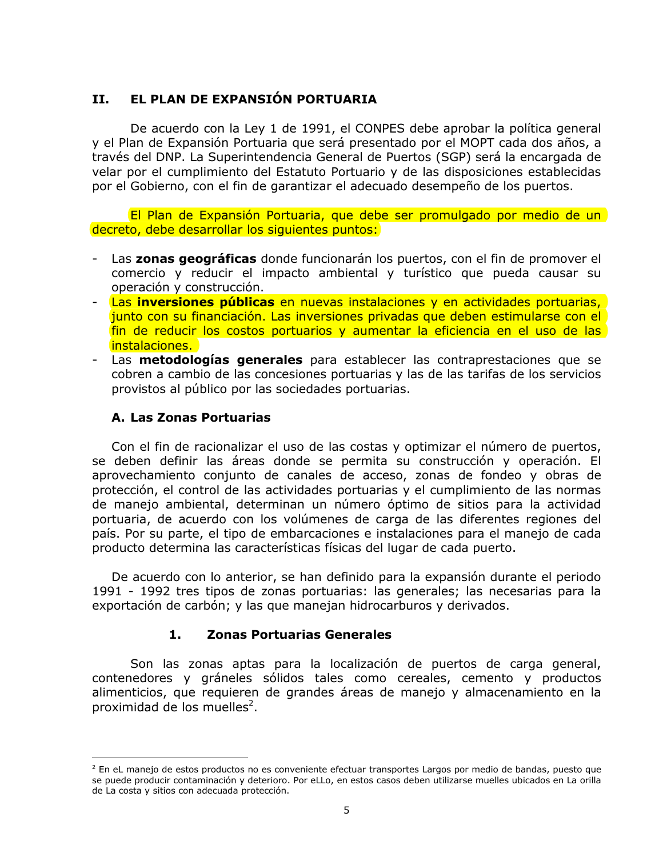#### EL PLAN DE EXPANSIÓN PORTUARIA **II.**

De acuerdo con la Ley 1 de 1991, el CONPES debe aprobar la política general y el Plan de Expansión Portuaria que será presentado por el MOPT cada dos años, a través del DNP. La Superintendencia General de Puertos (SGP) será la encargada de velar por el cumplimiento del Estatuto Portuario y de las disposiciones establecidas por el Gobierno, con el fin de garantizar el adecuado desempeño de los puertos.

El Plan de Expansión Portuaria, que debe ser promulgado por medio de un decreto, debe desarrollar los siguientes puntos:

- Las zonas geográficas donde funcionarán los puertos, con el fin de promover el comercio y reducir el impacto ambiental y turístico que pueda causar su operación y construcción.
- Las inversiones públicas en nuevas instalaciones y en actividades portuarias, junto con su financiación. Las inversiones privadas que deben estimularse con el fin de reducir los costos portuarios y aumentar la eficiencia en el uso de las instalaciones.
- Las **metodologías generales** para establecer las contraprestaciones que se cobren a cambio de las concesiones portuarias y las de las tarifas de los servicios provistos al público por las sociedades portuarias.

## A. Las Zonas Portuarias

Con el fin de racionalizar el uso de las costas y optimizar el número de puertos, se deben definir las áreas donde se permita su construcción y operación. El aprovechamiento conjunto de canales de acceso, zonas de fondeo y obras de protección, el control de las actividades portuarias y el cumplimiento de las normas de manejo ambiental, determinan un número óptimo de sitios para la actividad portuaria, de acuerdo con los volúmenes de carga de las diferentes regiones del país. Por su parte, el tipo de embarcaciones e instalaciones para el manejo de cada producto determina las características físicas del lugar de cada puerto.

De acuerdo con lo anterior, se han definido para la expansión durante el periodo 1991 - 1992 tres tipos de zonas portuarias: las generales; las necesarias para la exportación de carbón; y las que manejan hidrocarburos y derivados.

#### $1.$ **Zonas Portuarias Generales**

Son las zonas aptas para la localización de puertos de carga general, contenedores y gráneles sólidos tales como cereales, cemento y productos alimenticios, que requieren de grandes áreas de manejo y almacenamiento en la proximidad de los muelles<sup>2</sup>.

 $2$  En eL manejo de estos productos no es conveniente efectuar transportes Largos por medio de bandas, puesto que se puede producir contaminación y deterioro. Por eLLo, en estos casos deben utilizarse muelles ubicados en La orilla de La costa y sitios con adecuada protección.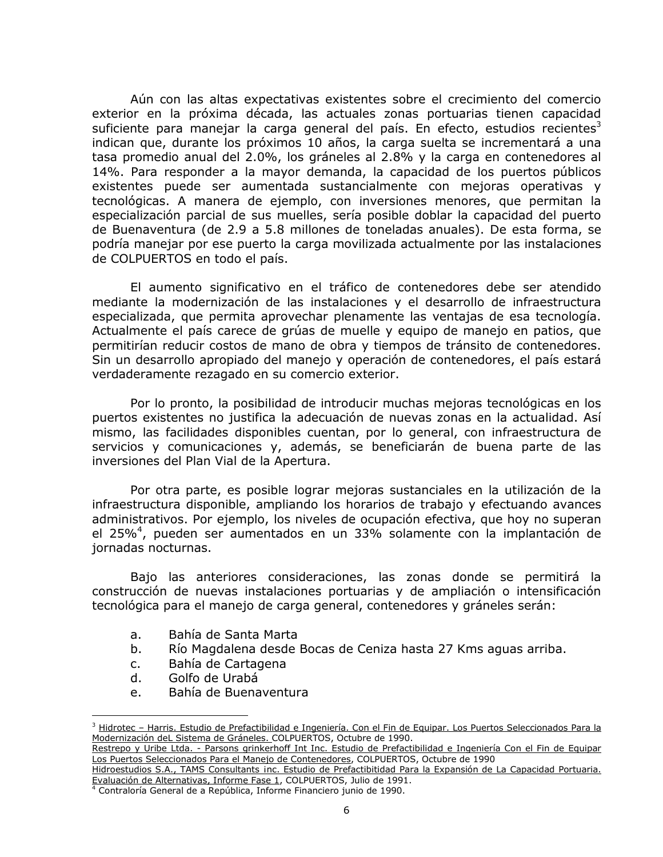Aún con las altas expectativas existentes sobre el crecimiento del comercio exterior en la próxima década, las actuales zonas portuarias tienen capacidad suficiente para manejar la carga general del país. En efecto, estudios recientes<sup>3</sup> indican que, durante los próximos 10 años, la carga suelta se incrementará a una tasa promedio anual del 2.0%, los gráneles al 2.8% y la carga en contenedores al 14%. Para responder a la mayor demanda, la capacidad de los puertos públicos existentes puede ser aumentada sustancialmente con mejoras operativas y tecnológicas. A manera de ejemplo, con inversiones menores, que permitan la especialización parcial de sus muelles, sería posible doblar la capacidad del puerto de Buenaventura (de 2.9 a 5.8 millones de toneladas anuales). De esta forma, se podría manejar por ese puerto la carga movilizada actualmente por las instalaciones de COLPUERTOS en todo el país.

El aumento significativo en el tráfico de contenedores debe ser atendido mediante la modernización de las instalaciones y el desarrollo de infraestructura especializada, que permita aprovechar plenamente las ventajas de esa tecnología. Actualmente el país carece de grúas de muelle y equipo de manejo en patios, que permitirían reducir costos de mano de obra y tiempos de tránsito de contenedores. Sin un desarrollo apropiado del manejo y operación de contenedores, el país estará verdaderamente rezagado en su comercio exterior.

Por lo pronto, la posibilidad de introducir muchas mejoras tecnológicas en los puertos existentes no justifica la adecuación de nuevas zonas en la actualidad. Así mismo, las facilidades disponibles cuentan, por lo general, con infraestructura de servicios y comunicaciones y, además, se beneficiarán de buena parte de las inversiones del Plan Vial de la Apertura.

Por otra parte, es posible lograr mejoras sustanciales en la utilización de la infraestructura disponible, ampliando los horarios de trabajo y efectuando avances administrativos. Por ejemplo, los niveles de ocupación efectiva, que hoy no superan el 25%<sup>4</sup>, pueden ser aumentados en un 33% solamente con la implantación de jornadas nocturnas.

Bajo las anteriores consideraciones, las zonas donde se permitirá la construcción de nuevas instalaciones portuarias y de ampliación o intensificación tecnológica para el manejo de carga general, contenedores y gráneles serán:

- Bahía de Santa Marta  $a<sub>1</sub>$
- $b_{-}$ Río Magdalena desde Bocas de Ceniza hasta 27 Kms aguas arriba.
- Bahía de Cartagena  $C_{1}$
- d. Golfo de Urabá
- Bahía de Buenaventura e.

<sup>&</sup>lt;sup>3</sup> Hidrotec - Harris. Estudio de Prefactibilidad e Ingeniería. Con el Fin de Equipar. Los Puertos Seleccionados Para la Modernización deL Sistema de Gráneles. COLPUERTOS, Octubre de 1990.

Restrepo y Uribe Ltda. - Parsons grinkerhoff Int Inc. Estudio de Prefactibilidad e Ingeniería Con el Fin de Equipar Los Puertos Seleccionados Para el Manejo de Contenedores, COLPUERTOS, Octubre de 1990

Hidroestudios S.A., TAMS Consultants inc. Estudio de Prefactibitidad Para la Expansión de La Capacidad Portuaria. Evaluación de Alternativas, Informe Fase 1, COLPUERTOS, Julio de 1991.

<sup>&</sup>lt;sup>4</sup> Contraloría General de a República, Informe Financiero junio de 1990.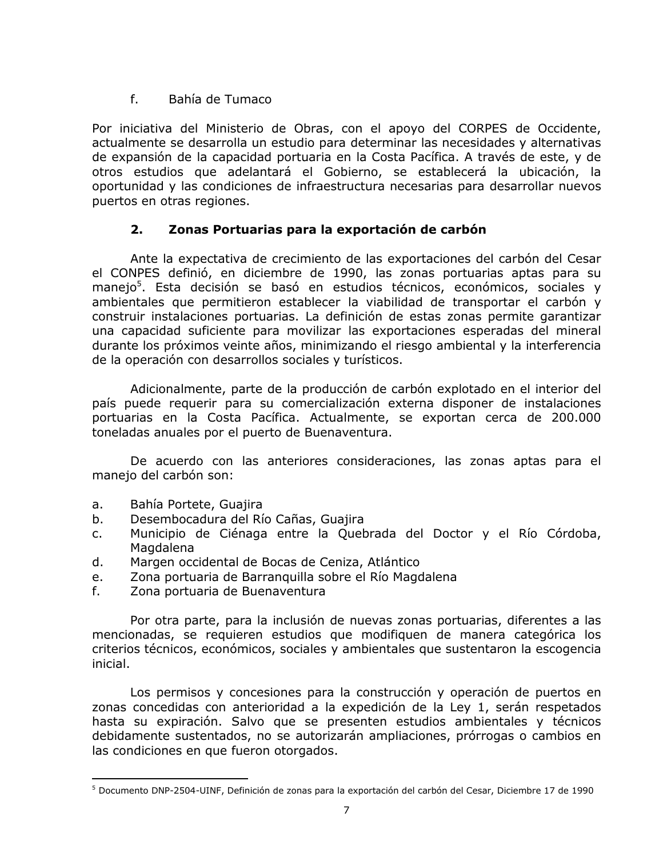#### $f_{\rm{max}}$ Bahía de Tumaco

Por iniciativa del Ministerio de Obras, con el apoyo del CORPES de Occidente, actualmente se desarrolla un estudio para determinar las necesidades y alternativas de expansión de la capacidad portuaria en la Costa Pacífica. A través de este, y de otros estudios que adelantará el Gobierno, se establecerá la ubicación, la oportunidad y las condiciones de infraestructura necesarias para desarrollar nuevos puertos en otras regiones.

#### $2.$ Zonas Portuarias para la exportación de carbón

Ante la expectativa de crecimiento de las exportaciones del carbón del Cesar el CONPES definió, en diciembre de 1990, las zonas portuarias aptas para su manejo<sup>5</sup>. Esta decisión se basó en estudios técnicos, económicos, sociales y ambientales que permitieron establecer la viabilidad de transportar el carbón y construir instalaciones portuarias. La definición de estas zonas permite garantizar una capacidad suficiente para movilizar las exportaciones esperadas del mineral durante los próximos veinte años, minimizando el riesgo ambiental y la interferencia de la operación con desarrollos sociales y turísticos.

Adicionalmente, parte de la producción de carbón explotado en el interior del país puede requerir para su comercialización externa disponer de instalaciones portuarias en la Costa Pacífica. Actualmente, se exportan cerca de 200.000 toneladas anuales por el puerto de Buenaventura.

De acuerdo con las anteriores consideraciones, las zonas aptas para el manejo del carbón son:

- Bahía Portete, Guajira a.
- $b.$ Desembocadura del Río Cañas, Guajira
- Municipio de Ciénaga entre la Quebrada del Doctor y el Río Córdoba,  $C<sub>1</sub>$ Magdalena
- $d_{-}$ Margen occidental de Bocas de Ceniza, Atlántico
- Zona portuaria de Barranguilla sobre el Río Magdalena e.
- $f_{\rm{r}}$ Zona portuaria de Buenaventura

Por otra parte, para la inclusión de nuevas zonas portuarias, diferentes a las mencionadas, se requieren estudios que modifiquen de manera categórica los criterios técnicos, económicos, sociales y ambientales que sustentaron la escogencia inicial.

Los permisos y concesiones para la construcción y operación de puertos en zonas concedidas con anterioridad a la expedición de la Ley 1, serán respetados hasta su expiración. Salvo que se presenten estudios ambientales y técnicos debidamente sustentados, no se autorizarán ampliaciones, prórrogas o cambios en las condiciones en que fueron otorgados.

<sup>&</sup>lt;sup>5</sup> Documento DNP-2504-UINF, Definición de zonas para la exportación del carbón del Cesar, Diciembre 17 de 1990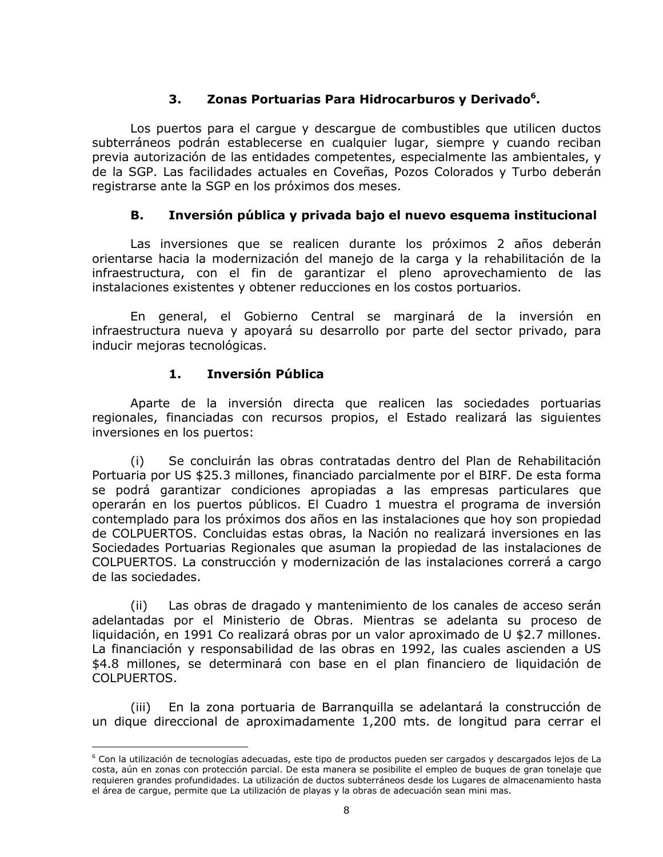#### Zonas Portuarias Para Hidrocarburos y Derivado<sup>6</sup>. 3.

Los puertos para el cargue y descargue de combustibles que utilicen ductos subterráneos podrán establecerse en cualquier lugar, siempre y cuando reciban previa autorización de las entidades competentes, especialmente las ambientales, y de la SGP. Las facilidades actuales en Coveñas, Pozos Colorados y Turbo deberán registrarse ante la SGP en los próximos dos meses.

#### В. Inversión pública y privada bajo el nuevo esquema institucional

Las inversiones que se realicen durante los próximos 2 años deberán orientarse hacia la modernización del manejo de la carga y la rehabilitación de la infraestructura, con el fin de garantizar el pleno aprovechamiento de las instalaciones existentes y obtener reducciones en los costos portuarios.

En general, el Gobierno Central se marginará de la inversión en infraestructura nueva y apoyará su desarrollo por parte del sector privado, para inducir mejoras tecnológicas.

#### $1.$ Inversión Pública

Aparte de la inversión directa que realicen las sociedades portuarias regionales, financiadas con recursos propios, el Estado realizará las siguientes inversiones en los puertos:

Se concluirán las obras contratadas dentro del Plan de Rehabilitación  $(i)$ Portuaria por US \$25.3 millones, financiado parcialmente por el BIRF. De esta forma se podrá garantizar condiciones apropiadas a las empresas particulares que operarán en los puertos públicos. El Cuadro 1 muestra el programa de inversión contemplado para los próximos dos años en las instalaciones que hoy son propiedad de COLPUERTOS. Concluidas estas obras, la Nación no realizará inversiones en las Sociedades Portuarias Regionales que asuman la propiedad de las instalaciones de COLPUERTOS. La construcción y modernización de las instalaciones correrá a cargo de las sociedades.

Las obras de dragado y mantenimiento de los canales de acceso serán  $(ii)$ adelantadas por el Ministerio de Obras. Mientras se adelanta su proceso de liquidación, en 1991 Co realizará obras por un valor aproximado de U \$2.7 millones. La financiación y responsabilidad de las obras en 1992, las cuales ascienden a US \$4.8 millones, se determinará con base en el plan financiero de liquidación de COLPUERTOS.

En la zona portuaria de Barranguilla se adelantará la construcción de  $(iii)$ un dique direccional de aproximadamente 1,200 mts. de longitud para cerrar el

<sup>&</sup>lt;sup>6</sup> Con la utilización de tecnologías adecuadas, este tipo de productos pueden ser cargados y descargados lejos de La costa, aún en zonas con protección parcial. De esta manera se posibilite el empleo de bugues de gran tonelaje que requieren grandes profundidades. La utilización de ductos subterráneos desde los Lugares de almacenamiento hasta el área de cargue, permite que La utilización de playas y la obras de adecuación sean mini mas.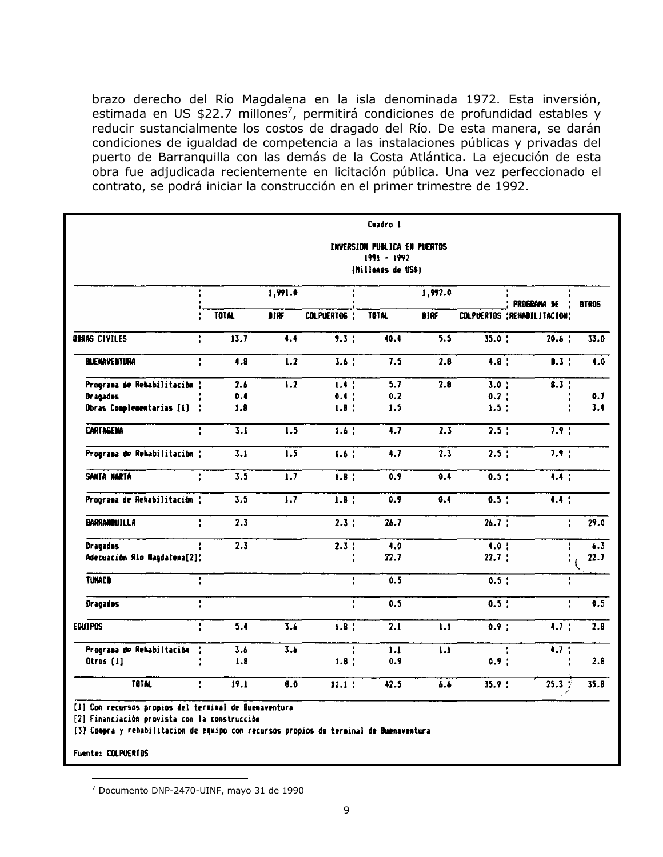brazo derecho del Río Magdalena en la isla denominada 1972. Esta inversión, estimada en US \$22.7 millones<sup>7</sup>, permitirá condiciones de profundidad estables y reducir sustancialmente los costos de dragado del Río. De esta manera, se darán condiciones de igualdad de competencia a las instalaciones públicas y privadas del puerto de Barranquilla con las demás de la Costa Atlántica. La ejecución de esta obra fue adjudicada recientemente en licitación pública. Una vez perfeccionado el contrato, se podrá iniciar la construcción en el primer trimestre de 1992.

|                              | Cuadro 1<br>INVERSION PUBLICA EN PUERTOS<br>$1991 - 1992$ |              |                  |              |                    |             |             |                              |      |
|------------------------------|-----------------------------------------------------------|--------------|------------------|--------------|--------------------|-------------|-------------|------------------------------|------|
|                              |                                                           |              |                  |              | (Millones de US\$) |             |             |                              |      |
|                              |                                                           | 1,991.0      |                  |              | 1,992.0            |             | PROGRAMA DE | <b>DTROS</b>                 |      |
|                              |                                                           | <b>TOTAL</b> | <b>DTRF</b>      | COLPUERTOS : | <b>TOTAL</b>       | <b>BIRF</b> |             | COLPUERTOS : REHABILITACION: |      |
| OBRAS CIVILES                | t                                                         | 13.7         | 4.4              | 9.3:         | 40.4               | 5.5         | 35.0:       | 20.6:                        | 33.0 |
| <b>BUENAVENTURA</b>          | ř                                                         | 4.8          | 1.2              | 3.6:         | 7.5                | 2.8         | 4.8:        | 0.3                          | 4.0  |
| Programa de Rehabilitación : |                                                           | 2.6          | 1.2              | 1.4:         | 5.7                | 2.8         | 3.0:        | 8.3:                         |      |
| <b>Dragados</b>              |                                                           | 0.4          |                  | 0.4:         | 0.2                |             | 0.2:        |                              | 0.7  |
| Obras Complementarias [1] :  |                                                           | 1.8          |                  | 1.8:         | 1.5                |             | 1.5:        |                              | 3.4  |
| <b>CARTAGENA</b>             | t                                                         | 3.1          | 1.5              | 1.6:         | 4.7                | 2.3         | 2.5:        | 7.9:                         |      |
| Programa de Rehabilitación : |                                                           | 3.1          | 1.5              | 1.6:         | 4.7                | 2.3         | 2.5:        | 7.9:                         |      |
| SANTA MARTA                  | ŧ                                                         | 3.5          | 1.7              | 1.8:         | 0.9                | 0.4         | 0.5:        | 4.4:                         |      |
| Programa de Rehabilitación : |                                                           | 3.5          | $\overline{1.7}$ | 1.8:         | 0.9                | 0.4         | 0.5:        | 4.4 :                        |      |
| <b>BARRANQUILLA</b>          | ţ.                                                        | 2.3          |                  | 2.3:         | 26.7               |             | 26.7:       | ł.                           | 29.0 |
| <b>Dragados</b>              |                                                           | 2.3          |                  | 2.3:         | 4.0                |             | 4.0:        |                              | 6.3  |
| Adecuación Río Magdalena[2]: |                                                           |              |                  |              | 22.7               |             | 22.7:       |                              | 22.7 |
| <b>TUNACO</b>                | $\frac{1}{4}$                                             |              |                  | ŧ.           | 0.5                |             | $0.5$ :     | ł,                           |      |
| <b>Dragados</b>              | ŧ.                                                        |              |                  | ÷            | 0.5                |             | 0.5:        | ÷,                           | 0.5  |
| <b>EQUIPOS</b>               | ŧ                                                         | 5.4          | 3.6              | $1.8$ :      | 2.1                | 1.1         | 0.9:        | 4.7 <sub>1</sub>             | 2.8  |
| Programa de Rehabiltación    | ÷                                                         | 3.b          | 3.6              |              | 1.1                | 1.1         |             | 4.7:                         |      |
| Otros [1]                    |                                                           | 1.8          |                  | 1.8:         | 0.9                |             | 0.9:        |                              | 2.8  |
| <b>TOTAL</b>                 | ŧ                                                         | 19.1         | 8.0              | 11.1:        | 42.5               | 6.6         | 35.9:       | 25.3%                        | 35.8 |

[1] Con recursos propios del terminal de Buenaventura

[2] Financiación provista con la construcción

[3] Compra y rehabilitacion de equipo con recursos propios de terminal de Buenaventura

Fuente: COLPUERTOS

<sup>&</sup>lt;sup>7</sup> Documento DNP-2470-UINF, mayo 31 de 1990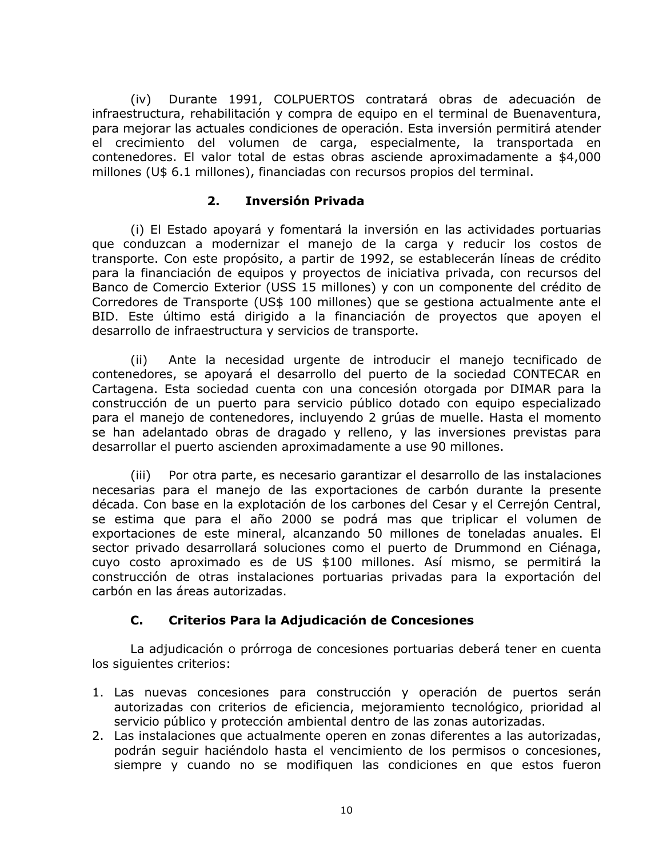Durante 1991, COLPUERTOS contratará obras de adecuación de  $(iv)$ infraestructura, rehabilitación y compra de equipo en el terminal de Buenaventura, para mejorar las actuales condiciones de operación. Esta inversión permitirá atender el crecimiento del volumen de carga, especialmente, la transportada en contenedores. El valor total de estas obras asciende aproximadamente a \$4,000 millones (U\$ 6.1 millones), financiadas con recursos propios del terminal.

#### $2.$ Inversión Privada

(i) El Estado apoyará y fomentará la inversión en las actividades portuarias que conduzcan a modernizar el manejo de la carga y reducir los costos de transporte. Con este propósito, a partir de 1992, se establecerán líneas de crédito para la financiación de equipos y proyectos de iniciativa privada, con recursos del Banco de Comercio Exterior (USS 15 millones) y con un componente del crédito de Corredores de Transporte (US\$ 100 millones) que se gestiona actualmente ante el BID. Este último está dirigido a la financiación de proyectos que apoyen el desarrollo de infraestructura y servicios de transporte.

Ante la necesidad urgente de introducir el manejo tecnificado de  $(ii)$ contenedores, se apoyará el desarrollo del puerto de la sociedad CONTECAR en Cartagena. Esta sociedad cuenta con una concesión otorgada por DIMAR para la construcción de un puerto para servicio público dotado con equipo especializado para el manejo de contenedores, incluyendo 2 grúas de muelle. Hasta el momento se han adelantado obras de dragado y relleno, y las inversiones previstas para desarrollar el puerto ascienden aproximadamente a use 90 millones.

Por otra parte, es necesario garantizar el desarrollo de las instalaciones  $(iii)$ necesarias para el manejo de las exportaciones de carbón durante la presente década. Con base en la explotación de los carbones del Cesar y el Cerrejón Central, se estima que para el año 2000 se podrá mas que triplicar el volumen de exportaciones de este mineral, alcanzando 50 millones de toneladas anuales. El sector privado desarrollará soluciones como el puerto de Drummond en Ciénaga, cuyo costo aproximado es de US \$100 millones. Así mismo, se permitirá la construcción de otras instalaciones portuarias privadas para la exportación del carbón en las áreas autorizadas.

#### C. Criterios Para la Adjudicación de Concesiones

La adjudicación o prórroga de concesiones portuarias deberá tener en cuenta los siguientes criterios:

- 1. Las nuevas concesiones para construcción y operación de puertos serán autorizadas con criterios de eficiencia, mejoramiento tecnológico, prioridad al servicio público y protección ambiental dentro de las zonas autorizadas.
- 2. Las instalaciones que actualmente operen en zonas diferentes a las autorizadas, podrán sequir haciéndolo hasta el vencimiento de los permisos o concesiones, siempre y cuando no se modifiquen las condiciones en que estos fueron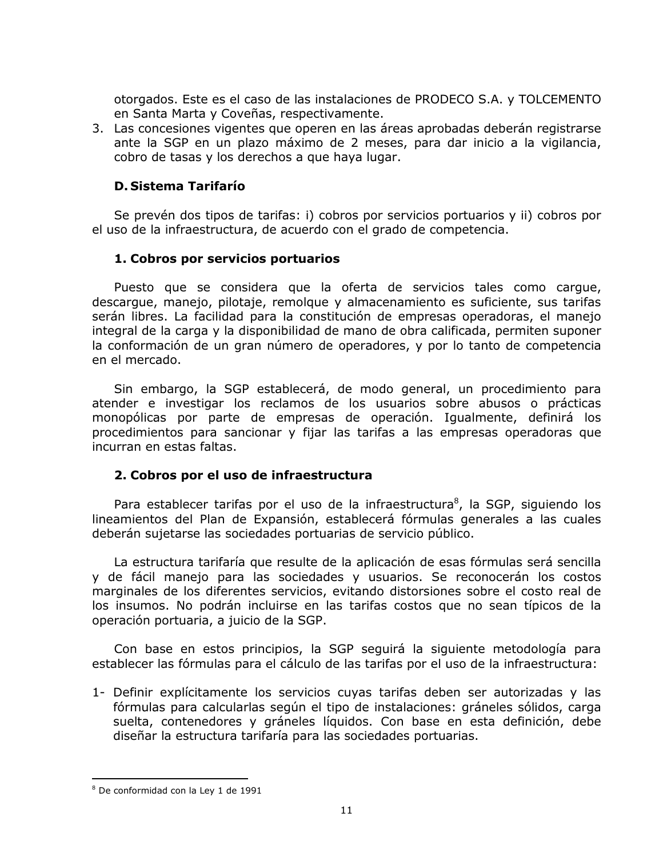otorgados. Este es el caso de las instalaciones de PRODECO S.A. y TOLCEMENTO en Santa Marta y Coveñas, respectivamente.

3. Las concesiones vigentes que operen en las áreas aprobadas deberán registrarse ante la SGP en un plazo máximo de 2 meses, para dar inicio a la vigilancia, cobro de tasas y los derechos a que haya lugar.

## **D. Sistema Tarifarío**

Se prevén dos tipos de tarifas: i) cobros por servicios portuarios y ii) cobros por el uso de la infraestructura, de acuerdo con el grado de competencia.

## 1. Cobros por servicios portuarios

Puesto que se considera que la oferta de servicios tales como carque, descarque, manejo, pilotaje, remolque y almacenamiento es suficiente, sus tarifas serán libres. La facilidad para la constitución de empresas operadoras, el manejo integral de la carga y la disponibilidad de mano de obra calificada, permiten suponer la conformación de un gran número de operadores, y por lo tanto de competencia en el mercado.

Sin embargo, la SGP establecerá, de modo general, un procedimiento para atender e investigar los reclamos de los usuarios sobre abusos o prácticas monopólicas por parte de empresas de operación. Igualmente, definirá los procedimientos para sancionar y fijar las tarifas a las empresas operadoras que incurran en estas faltas.

## 2. Cobros por el uso de infraestructura

Para establecer tarifas por el uso de la infraestructura<sup>8</sup>, la SGP, siguiendo los lineamientos del Plan de Expansión, establecerá fórmulas generales a las cuales deberán sujetarse las sociedades portuarias de servicio público.

La estructura tarifaría que resulte de la aplicación de esas fórmulas será sencilla y de fácil manejo para las sociedades y usuarios. Se reconocerán los costos marginales de los diferentes servicios, evitando distorsiones sobre el costo real de los insumos. No podrán incluirse en las tarifas costos que no sean típicos de la operación portuaria, a juicio de la SGP.

Con base en estos principios, la SGP seguirá la siguiente metodología para establecer las fórmulas para el cálculo de las tarifas por el uso de la infraestructura:

1- Definir explícitamente los servicios cuyas tarifas deben ser autorizadas y las fórmulas para calcularlas según el tipo de instalaciones: gráneles sólidos, carga suelta, contenedores y gráneles líquidos. Con base en esta definición, debe diseñar la estructura tarifaría para las sociedades portuarias.

<sup>&</sup>lt;sup>8</sup> De conformidad con la Ley 1 de 1991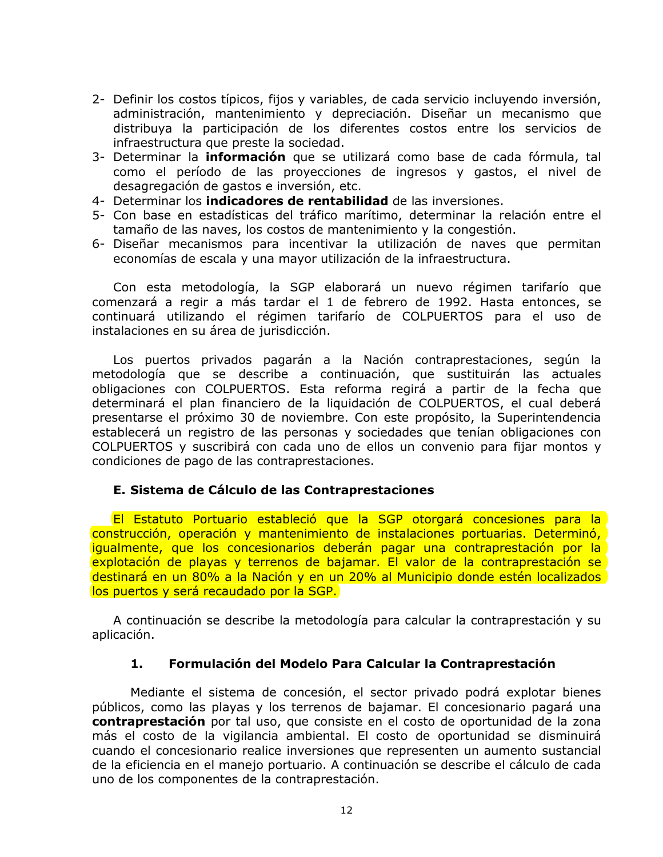- 2- Definir los costos típicos, fijos y variables, de cada servicio incluyendo inversión, administración, mantenimiento y depreciación. Diseñar un mecanismo que distribuya la participación de los diferentes costos entre los servicios de infraestructura que preste la sociedad.
- 3- Determinar la *información* que se utilizará como base de cada fórmula, tal como el período de las proyecciones de ingresos y gastos, el nivel de desagregación de gastos e inversión, etc.
- 4- Determinar los **indicadores de rentabilidad** de las inversiones.
- 5- Con base en estadísticas del tráfico marítimo, determinar la relación entre el tamaño de las naves, los costos de mantenimiento y la congestión.
- 6- Diseñar mecanismos para incentivar la utilización de naves que permitan economías de escala y una mayor utilización de la infraestructura.

Con esta metodología, la SGP elaborará un nuevo régimen tarifarío que comenzará a regir a más tardar el 1 de febrero de 1992. Hasta entonces, se continuará utilizando el régimen tarifarío de COLPUERTOS para el uso de instalaciones en su área de jurisdicción.

Los puertos privados pagarán a la Nación contraprestaciones, según la metodología que se describe a continuación, que sustituirán las actuales obligaciones con COLPUERTOS. Esta reforma regirá a partir de la fecha que determinará el plan financiero de la liquidación de COLPUERTOS, el cual deberá presentarse el próximo 30 de noviembre. Con este propósito, la Superintendencia establecerá un registro de las personas y sociedades que tenían obligaciones con COLPUERTOS y suscribirá con cada uno de ellos un convenio para fijar montos y condiciones de pago de las contraprestaciones.

## E. Sistema de Cálculo de las Contraprestaciones

El Estatuto Portuario estableció que la SGP otorgará concesiones para la construcción, operación y mantenimiento de instalaciones portuarias. Determinó, iqualmente, que los concesionarios deberán pagar una contraprestación por la explotación de playas y terrenos de bajamar. El valor de la contraprestación se destinará en un 80% a la Nación y en un 20% al Municipio donde estén localizados los puertos y será recaudado por la SGP.

A continuación se describe la metodología para calcular la contraprestación y su aplicación.

#### $1.$ Formulación del Modelo Para Calcular la Contraprestación

Mediante el sistema de concesión, el sector privado podrá explotar bienes públicos, como las playas y los terrenos de bajamar. El concesionario pagará una contraprestación por tal uso, que consiste en el costo de oportunidad de la zona más el costo de la vigilancia ambiental. El costo de oportunidad se disminuirá cuando el concesionario realice inversiones que representen un aumento sustancial de la eficiencia en el manejo portuario. A continuación se describe el cálculo de cada uno de los componentes de la contraprestación.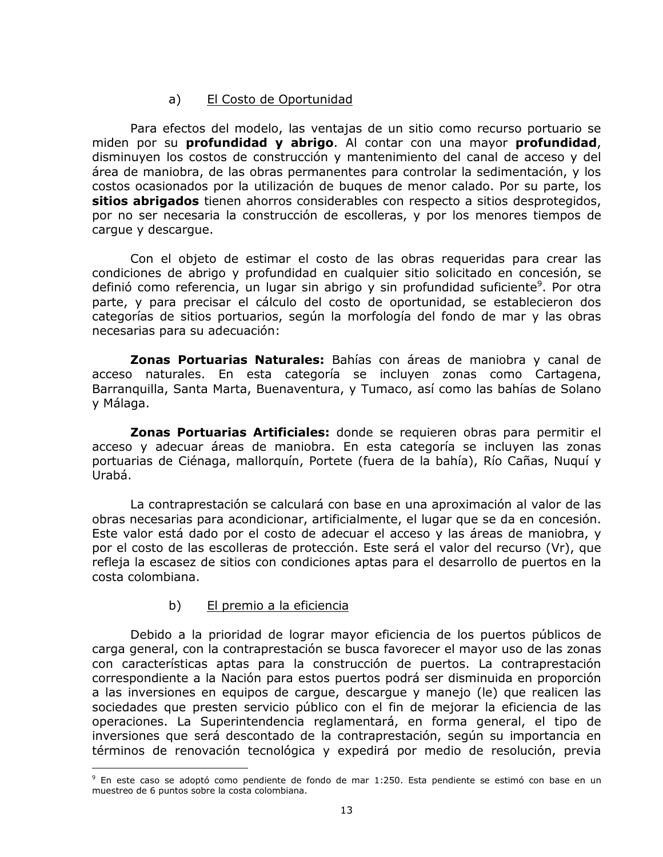#### El Costo de Oportunidad a)

Para efectos del modelo, las ventajas de un sitio como recurso portuario se miden por su profundidad y abrigo. Al contar con una mayor profundidad, disminuyen los costos de construcción y mantenimiento del canal de acceso y del área de maniobra, de las obras permanentes para controlar la sedimentación, y los costos ocasionados por la utilización de bugues de menor calado. Por su parte, los sitios abrigados tienen ahorros considerables con respecto a sitios desprotegidos, por no ser necesaria la construcción de escolleras, y por los menores tiempos de cargue y descargue.

Con el objeto de estimar el costo de las obras requeridas para crear las condiciones de abrigo y profundidad en cualquier sitio solicitado en concesión, se definió como referencia, un lugar sin abrigo y sin profundidad suficiente<sup>9</sup>. Por otra parte, y para precisar el cálculo del costo de oportunidad, se establecieron dos categorías de sitios portuarios, según la morfología del fondo de mar y las obras necesarias para su adecuación:

**Zonas Portuarias Naturales:** Bahías con áreas de maniobra y canal de acceso naturales. En esta categoría se incluyen zonas como Cartagena, Barranquilla, Santa Marta, Buenaventura, y Tumaco, así como las bahías de Solano y Málaga.

Zonas Portuarias Artificiales: donde se requieren obras para permitir el acceso y adecuar áreas de maniobra. En esta categoría se incluyen las zonas portuarias de Ciénaga, mallorquín, Portete (fuera de la bahía), Río Cañas, Nuquí y Urabá.

La contraprestación se calculará con base en una aproximación al valor de las obras necesarias para acondicionar, artificialmente, el lugar que se da en concesión. Este valor está dado por el costo de adecuar el acceso y las áreas de maniobra, y por el costo de las escolleras de protección. Este será el valor del recurso (Vr), que refleja la escasez de sitios con condiciones aptas para el desarrollo de puertos en la costa colombiana.

#### b) El premio a la eficiencia

Debido a la prioridad de lograr mayor eficiencia de los puertos públicos de carga general, con la contraprestación se busca favorecer el mayor uso de las zonas con características aptas para la construcción de puertos. La contraprestación correspondiente a la Nación para estos puertos podrá ser disminuida en proporción a las inversiones en equipos de cargue, descargue y manejo (le) que realicen las sociedades que presten servicio público con el fin de mejorar la eficiencia de las operaciones. La Superintendencia reglamentará, en forma general, el tipo de inversiones que será descontado de la contraprestación, según su importancia en términos de renovación tecnológica y expedirá por medio de resolución, previa

<sup>&</sup>lt;sup>9</sup> En este caso se adoptó como pendiente de fondo de mar 1:250. Esta pendiente se estimó con base en un muestreo de 6 puntos sobre la costa colombiana.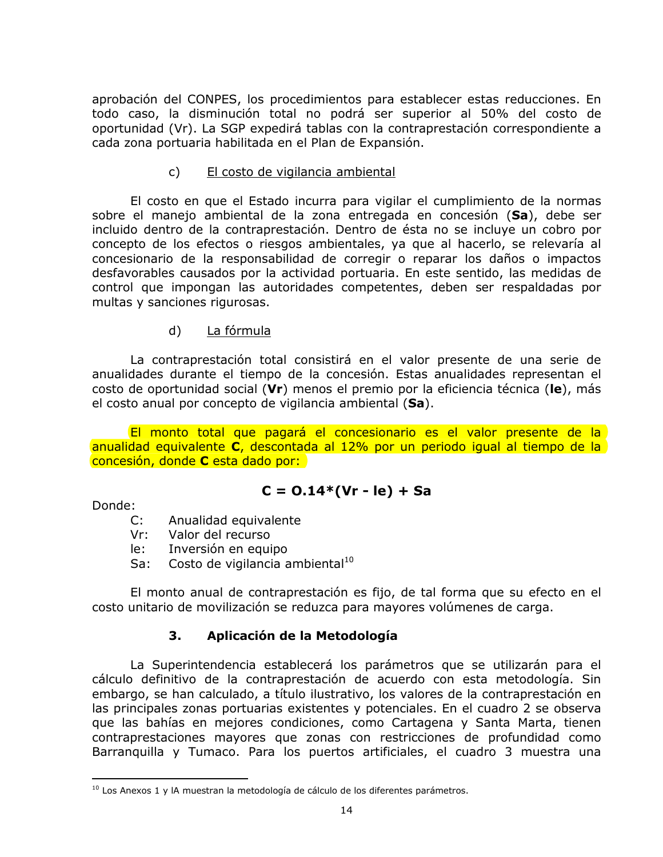aprobación del CONPES, los procedimientos para establecer estas reducciones. En todo caso, la disminución total no podrá ser superior al 50% del costo de oportunidad (Vr). La SGP expedirá tablas con la contraprestación correspondiente a cada zona portuaria habilitada en el Plan de Expansión.

#### $\mathsf{C}$ El costo de vigilancia ambiental

El costo en que el Estado incurra para vigilar el cumplimiento de la normas sobre el manejo ambiental de la zona entregada en concesión (Sa), debe ser incluido dentro de la contraprestación. Dentro de ésta no se incluye un cobro por concepto de los efectos o riesgos ambientales, ya que al hacerlo, se relevaría al concesionario de la responsabilidad de corregir o reparar los daños o impactos desfavorables causados por la actividad portuaria. En este sentido, las medidas de control que impongan las autoridades competentes, deben ser respaldadas por multas y sanciones rigurosas.

#### La fórmula d)

La contraprestación total consistirá en el valor presente de una serie de anualidades durante el tiempo de la concesión. Estas anualidades representan el costo de oportunidad social (Vr) menos el premio por la eficiencia técnica (le), más el costo anual por concepto de vigilancia ambiental (Sa).

El monto total que pagará el concesionario es el valor presente de la anualidad equivalente C, descontada al 12% por un periodo igual al tiempo de la concesión, donde C esta dado por:

## $C = 0.14*(Vr - le) + Sa$

Donde:

- Anualidad equivalente  $C:$
- $Vr$ : Valor del recurso
- le: Inversión en equipo
- Costo de vigilancia ambiental<sup>10</sup> Sa:

El monto anual de contraprestación es fijo, de tal forma que su efecto en el costo unitario de movilización se reduzca para mayores volúmenes de carga.

#### $3<sub>1</sub>$ Aplicación de la Metodología

La Superintendencia establecerá los parámetros que se utilizarán para el cálculo definitivo de la contraprestación de acuerdo con esta metodología. Sin embargo, se han calculado, a título ilustrativo, los valores de la contraprestación en las principales zonas portuarias existentes y potenciales. En el cuadro 2 se observa que las bahías en mejores condiciones, como Cartagena y Santa Marta, tienen contraprestaciones mayores que zonas con restricciones de profundidad como Barranguilla y Tumaco. Para los puertos artificiales, el cuadro 3 muestra una

<sup>&</sup>lt;sup>10</sup> Los Anexos 1 y lA muestran la metodología de cálculo de los diferentes parámetros.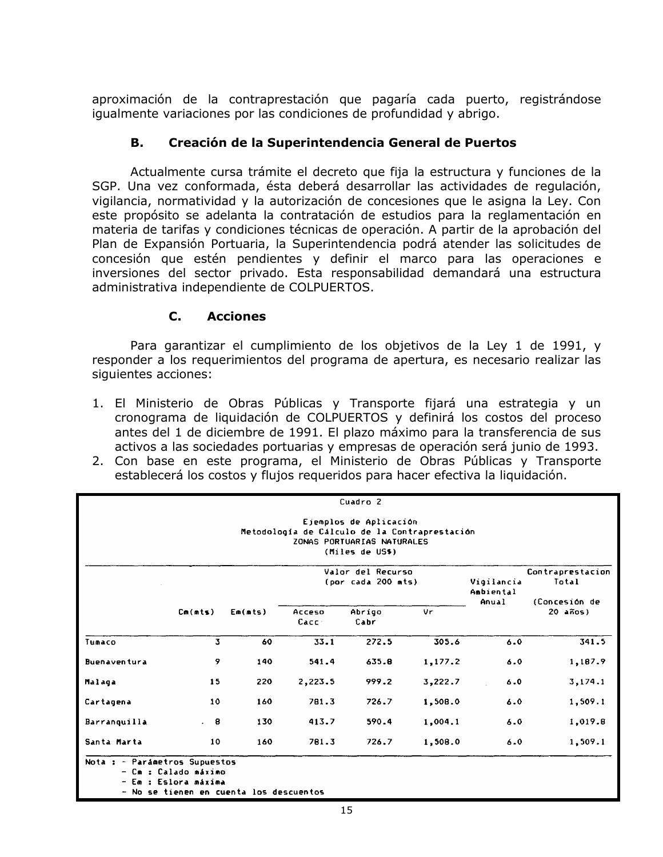aproximación de la contraprestación que pagaría cada puerto, registrándose igualmente variaciones por las condiciones de profundidad y abrigo.

#### **B.** Creación de la Superintendencia General de Puertos

Actualmente cursa trámite el decreto que fija la estructura y funciones de la SGP. Una vez conformada, ésta deberá desarrollar las actividades de regulación, vigilancia, normatividad y la autorización de concesiones que le asigna la Ley. Con este propósito se adelanta la contratación de estudios para la reglamentación en materia de tarifas y condiciones técnicas de operación. A partir de la aprobación del Plan de Expansión Portuaria, la Superintendencia podrá atender las solicitudes de concesión que estén pendientes y definir el marco para las operaciones e inversiones del sector privado. Esta responsabilidad demandará una estructura administrativa independiente de COLPUERTOS.

#### $C_{-}$ **Acciones**

Para garantizar el cumplimiento de los objetivos de la Ley 1 de 1991, y responder a los requerimientos del programa de apertura, es necesario realizar las siguientes acciones:

- 1. El Ministerio de Obras Públicas y Transporte fijará una estrategia y un cronograma de liquidación de COLPUERTOS y definirá los costos del proceso antes del 1 de diciembre de 1991. El plazo máximo para la transferencia de sus activos a las sociedades portuarias y empresas de operación será junio de 1993.
- 2. Con base en este programa, el Ministerio de Obras Públicas y Transporte establecerá los costos y flujos requeridos para hacer efectiva la liquidación.

| Cuadro <sub>2</sub>                                                                                                      |         |         |                                         |                                                                                                                          |                                            |         |            |
|--------------------------------------------------------------------------------------------------------------------------|---------|---------|-----------------------------------------|--------------------------------------------------------------------------------------------------------------------------|--------------------------------------------|---------|------------|
|                                                                                                                          |         |         |                                         | Ejemplos de Aplicación<br>Metodología de Cálculo de la Contraprestación<br>ZONAS PORTUARIAS NATURALES<br>(Miles de US\$) |                                            |         |            |
|                                                                                                                          |         |         | Valor del Recurso<br>(por cada 200 mts) | Vigilancia<br>Ambiental<br>Anual                                                                                         | Contraprestacion<br>Total<br>(Concesión de |         |            |
|                                                                                                                          | Cm(nts) | Em(mts) | Acceso<br>Cacc                          | Abrigo<br>Cabr                                                                                                           | Vr                                         |         | $20$ años) |
| Tumaco                                                                                                                   | 3       | 60      | 33.1                                    | 272.5                                                                                                                    | 305.6                                      | 6.0     | 341.5      |
| Buenaventura                                                                                                             | 9       | 140     | 541.4                                   | 635.8                                                                                                                    | 1,177.2                                    | 6.0     | 1,187.9    |
| Malaga                                                                                                                   | 15      | 220     | 2,223.5                                 | 999.2                                                                                                                    | 3,222.7                                    | 6.0     | 3,174.1    |
| Cartagena                                                                                                                | 10      | 160     | 781.3                                   | 726.7                                                                                                                    | 1,508.0                                    | 6.0     | 1,509.1    |
| Barranquilla                                                                                                             | . 8     | 130     | 413.7                                   | 590.4                                                                                                                    | 1,004.1                                    | 6.0     | 1,019.8    |
| Santa Marta                                                                                                              | 10      | 160     | 781.3                                   | 726.7                                                                                                                    | 1,508.0                                    | $6 - 0$ | 1,509.1    |
| Nota : - Parámetros Supuestos<br>- Cm : Calado máximo<br>- Em : Eslora máxima<br>- No se tienen en cuenta los descuentos |         |         |                                         |                                                                                                                          |                                            |         |            |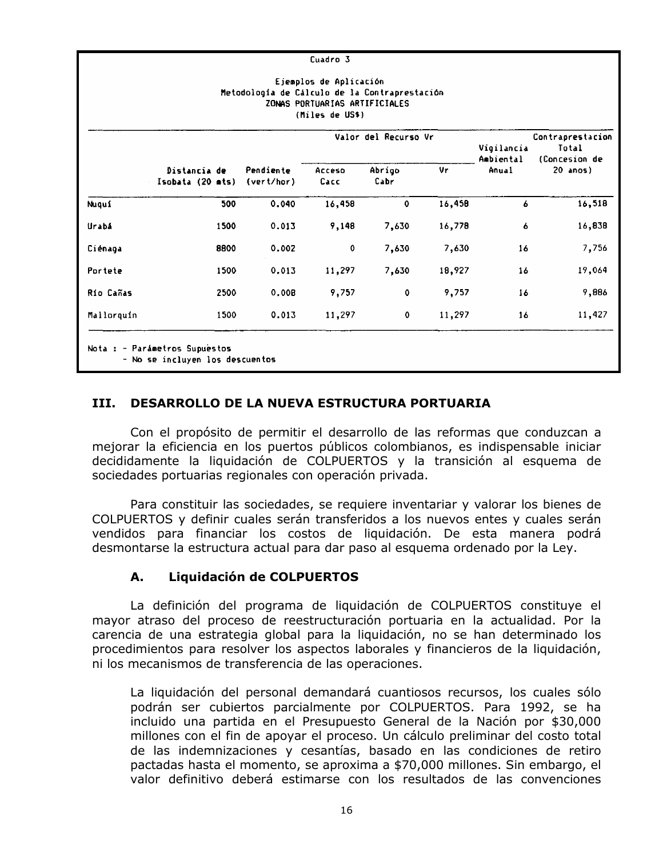| Cuadro 3                                                                                                                    |                                    |                         |                |                |        |                    |                           |  |
|-----------------------------------------------------------------------------------------------------------------------------|------------------------------------|-------------------------|----------------|----------------|--------|--------------------|---------------------------|--|
| Ejemplos de Aplicación<br>Metodología de Cálculo de la Contraprestación<br>ZONAS PORTUARIAS ARTIFICIALES<br>(Miles de US\$) |                                    |                         |                |                |        |                    |                           |  |
|                                                                                                                             | Valor del Recurso Vr<br>Vigilancia |                         |                |                |        |                    |                           |  |
|                                                                                                                             | Distancia de<br>Isobata (20 mts)   | Pendiente<br>(vert/hor) | Acceso<br>Cacc | Abrigo<br>Cabr | Vr     | Ambiental<br>Anual | (Concesion de<br>20 anos) |  |
| Nuqui                                                                                                                       | 500                                | 0.040                   | 16,458         | $\bullet$      | 16,458 | 6                  | 16,518                    |  |
| Urabá                                                                                                                       | 1500                               | 0.013                   | 9,148          | 7,630          | 16,778 | 6                  | 16,838                    |  |
| Ciénaga                                                                                                                     | 8800                               | 0.002                   | $\mathbf 0$    | 7,630          | 7,630  | 16                 | 7,756                     |  |
| Portete                                                                                                                     | 1500                               | 0.013                   | 11,297         | 7,630          | 18,927 | 16                 | 19,064                    |  |
| Río Cañas                                                                                                                   | 2500                               | 0.008                   | 9,757          | $\mathbf 0$    | 9,757  | 16                 | 9,886                     |  |
| Mallorquín                                                                                                                  | 1500                               | 0.013                   | 11,297         | $\mathbf 0$    | 11,297 | 16                 | 11,427                    |  |
| Nota : - Parámetros Supuestos<br>- No se incluyen los descuentos                                                            |                                    |                         |                |                |        |                    |                           |  |

#### **DESARROLLO DE LA NUEVA ESTRUCTURA PORTUARIA** TTT.

Con el propósito de permitir el desarrollo de las reformas que conduzcan a mejorar la eficiencia en los puertos públicos colombianos, es indispensable iniciar decididamente la liquidación de COLPUERTOS y la transición al esquema de sociedades portuarias regionales con operación privada.

Para constituir las sociedades, se requiere inventariar y valorar los bienes de COLPUERTOS y definir cuales serán transferidos a los nuevos entes y cuales serán vendidos para financiar los costos de liquidación. De esta manera podrá desmontarse la estructura actual para dar paso al esquema ordenado por la Ley.

#### A. Liquidación de COLPUERTOS

La definición del programa de liquidación de COLPUERTOS constituye el mayor atraso del proceso de reestructuración portuaria en la actualidad. Por la carencia de una estrategia global para la liquidación, no se han determinado los procedimientos para resolver los aspectos laborales y financieros de la liquidación, ni los mecanismos de transferencia de las operaciones.

La liquidación del personal demandará cuantiosos recursos, los cuales sólo podrán ser cubiertos parcialmente por COLPUERTOS. Para 1992, se ha incluido una partida en el Presupuesto General de la Nación por \$30,000 millones con el fin de apoyar el proceso. Un cálculo preliminar del costo total de las indemnizaciones y cesantías, basado en las condiciones de retiro pactadas hasta el momento, se aproxima a \$70,000 millones. Sin embargo, el valor definitivo deberá estimarse con los resultados de las convenciones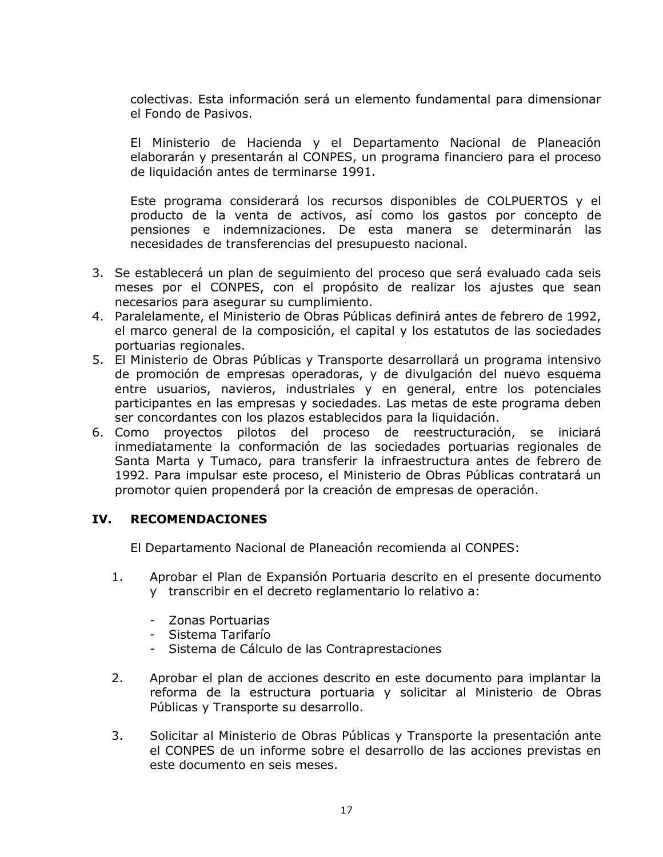colectivas. Esta información será un elemento fundamental para dimensionar el Fondo de Pasivos.

El Ministerio de Hacienda y el Departamento Nacional de Planeación elaborarán y presentarán al CONPES, un programa financiero para el proceso de liquidación antes de terminarse 1991.

Este programa considerará los recursos disponibles de COLPUERTOS y el producto de la venta de activos, así como los gastos por concepto de pensiones e indemnizaciones. De esta manera se determinarán las necesidades de transferencias del presupuesto nacional.

- 3. Se establecerá un plan de seguimiento del proceso que será evaluado cada seis meses por el CONPES, con el propósito de realizar los ajustes que sean necesarios para asegurar su cumplimiento.
- 4. Paralelamente, el Ministerio de Obras Públicas definirá antes de febrero de 1992, el marco general de la composición, el capital y los estatutos de las sociedades portuarias regionales.
- 5. El Ministerio de Obras Públicas y Transporte desarrollará un programa intensivo de promoción de empresas operadoras, y de divulgación del nuevo esquema entre usuarios, navieros, industriales y en general, entre los potenciales participantes en las empresas y sociedades. Las metas de este programa deben ser concordantes con los plazos establecidos para la liquidación.
- 6. Como proyectos pilotos del proceso de reestructuración, se iniciará inmediatamente la conformación de las sociedades portuarias regionales de Santa Marta y Tumaco, para transferir la infraestructura antes de febrero de 1992. Para impulsar este proceso, el Ministerio de Obras Públicas contratará un promotor quien propenderá por la creación de empresas de operación.

#### IV. **RECOMENDACIONES**

El Departamento Nacional de Planeación recomienda al CONPES:

- $1.$ Aprobar el Plan de Expansión Portuaria descrito en el presente documento y transcribir en el decreto reglamentario lo relativo a:
	- Zonas Portuarias
	- Sistema Tarifarío
	- Sistema de Cálculo de las Contraprestaciones
- $2.$ Aprobar el plan de acciones descrito en este documento para implantar la reforma de la estructura portuaria y solicitar al Ministerio de Obras Públicas y Transporte su desarrollo.
- $3.$ Solicitar al Ministerio de Obras Públicas y Transporte la presentación ante el CONPES de un informe sobre el desarrollo de las acciones previstas en este documento en seis meses.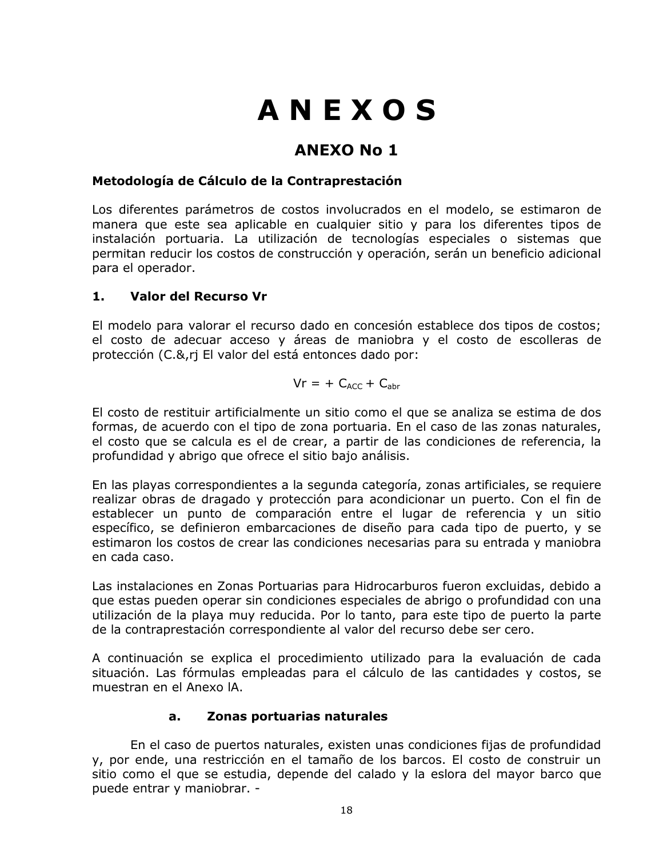# **ANEXOS**

## **ANEXO No 1**

## Metodología de Cálculo de la Contraprestación

Los diferentes parámetros de costos involucrados en el modelo, se estimaron de manera que este sea aplicable en cualquier sitio y para los diferentes tipos de instalación portuaria. La utilización de tecnologías especiales o sistemas que permitan reducir los costos de construcción y operación, serán un beneficio adicional para el operador.

#### $1.$ Valor del Recurso Vr

El modelo para valorar el recurso dado en concesión establece dos tipos de costos; el costo de adecuar acceso y áreas de maniobra y el costo de escolleras de protección (C.&, ri El valor del está entonces dado por:

$$
Vr = + C_{ACC} + C_{abr}
$$

El costo de restituir artificialmente un sitio como el que se analiza se estima de dos formas, de acuerdo con el tipo de zona portuaria. En el caso de las zonas naturales, el costo que se calcula es el de crear, a partir de las condiciones de referencia, la profundidad y abrigo que ofrece el sitio bajo análisis.

En las playas correspondientes a la segunda categoría, zonas artificiales, se reguiere realizar obras de dragado y protección para acondicionar un puerto. Con el fin de establecer un punto de comparación entre el lugar de referencia y un sitio específico, se definieron embarcaciones de diseño para cada tipo de puerto, y se estimaron los costos de crear las condiciones necesarias para su entrada y maniobra en cada caso.

Las instalaciones en Zonas Portuarias para Hidrocarburos fueron excluidas, debido a que estas pueden operar sin condiciones especiales de abrigo o profundidad con una utilización de la playa muy reducida. Por lo tanto, para este tipo de puerto la parte de la contraprestación correspondiente al valor del recurso debe ser cero.

A continuación se explica el procedimiento utilizado para la evaluación de cada situación. Las fórmulas empleadas para el cálculo de las cantidades y costos, se muestran en el Anexo IA.

#### Zonas portuarias naturales  $a<sub>r</sub>$

En el caso de puertos naturales, existen unas condiciones fijas de profundidad y, por ende, una restricción en el tamaño de los barcos. El costo de construir un sitio como el que se estudia, depende del calado y la eslora del mayor barco que puede entrar y maniobrar. -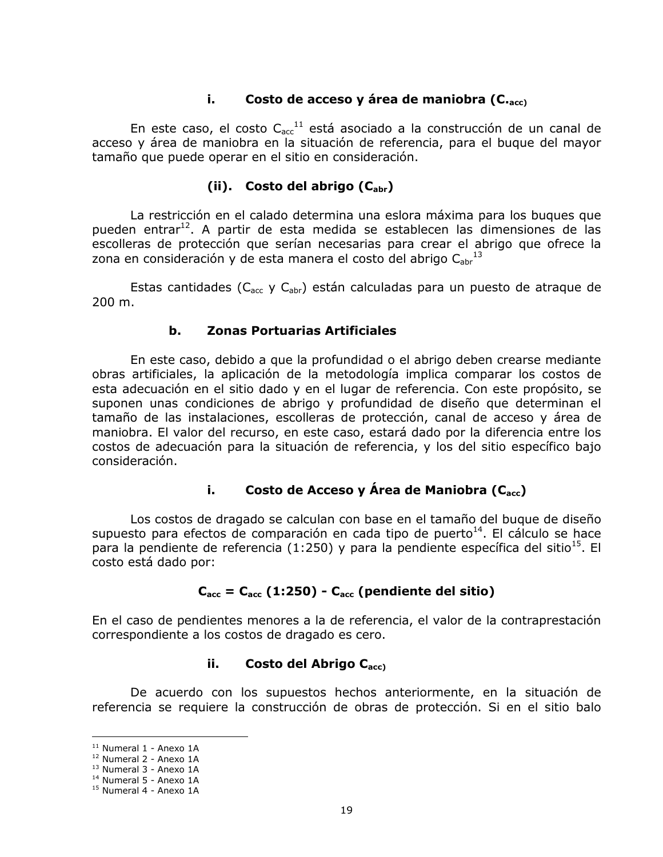#### i., Costo de acceso y área de maniobra (C.<sub>acc)</sub>

En este caso, el costo  $C_{\text{acc}}^{11}$  está asociado a la construcción de un canal de acceso y área de maniobra en la situación de referencia, para el buque del mayor tamaño que puede operar en el sitio en consideración.

### (ii). Costo del abrigo  $(C_{\text{abr}})$

La restricción en el calado determina una eslora máxima para los buques que pueden entrar<sup>12</sup>. A partir de esta medida se establecen las dimensiones de las escolleras de protección que serían necesarias para crear el abrigo que ofrece la zona en consideración y de esta manera el costo del abrigo  $C_{\text{abr}}^{13}$ 

Estas cantidades (C<sub>acc</sub> y C<sub>abr</sub>) están calculadas para un puesto de atraque de 200 m.

#### b. **Zonas Portuarias Artificiales**

En este caso, debido a que la profundidad o el abrigo deben crearse mediante obras artificiales, la aplicación de la metodología implica comparar los costos de esta adecuación en el sitio dado y en el lugar de referencia. Con este propósito, se suponen unas condiciones de abrigo y profundidad de diseño que determinan el tamaño de las instalaciones, escolleras de protección, canal de acceso y área de maniobra. El valor del recurso, en este caso, estará dado por la diferencia entre los costos de adecuación para la situación de referencia, y los del sitio específico bajo consideración.

#### i., Costo de Acceso y Área de Maniobra (C<sub>acc</sub>)

Los costos de dragado se calculan con base en el tamaño del bugue de diseño supuesto para efectos de comparación en cada tipo de puerto<sup>14</sup>. El cálculo se hace para la pendiente de referencia (1:250) y para la pendiente específica del sitio<sup>15</sup>. El costo está dado por:

## $C_{\text{acc}} = C_{\text{acc}} (1:250) - C_{\text{acc}}$  (pendiente del sitio)

En el caso de pendientes menores a la de referencia, el valor de la contraprestación correspondiente a los costos de dragado es cero.

#### ii. Costo del Abrigo C<sub>acc)</sub>

De acuerdo con los supuestos hechos anteriormente, en la situación de referencia se requiere la construcción de obras de protección. Si en el sitio balo

 $11$  Numeral 1 - Anexo 1A

<sup>&</sup>lt;sup>12</sup> Numeral 2 - Anexo 1A

<sup>&</sup>lt;sup>13</sup> Numeral 3 - Anexo 1A

<sup>&</sup>lt;sup>14</sup> Numeral 5 - Anexo 1A

<sup>&</sup>lt;sup>15</sup> Numeral 4 - Anexo 1A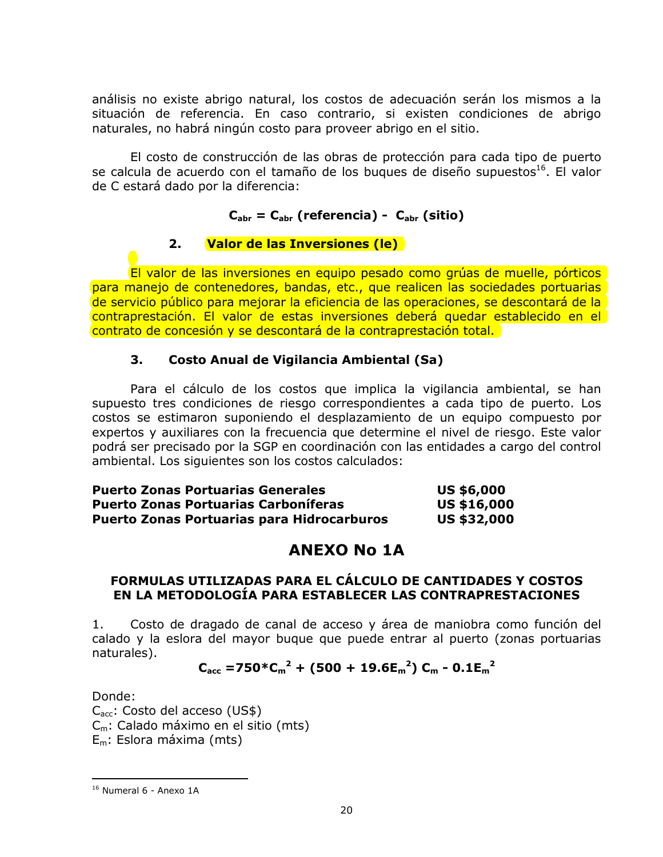análisis no existe abrigo natural, los costos de adecuación serán los mismos a la situación de referencia. En caso contrario, si existen condiciones de abrigo naturales, no habrá ningún costo para proveer abrigo en el sitio.

El costo de construcción de las obras de protección para cada tipo de puerto se calcula de acuerdo con el tamaño de los bugues de diseño supuestos<sup>16</sup>. El valor de C estará dado por la diferencia:

## $C_{\text{abr}} = C_{\text{abr}}$  (referencia) -  $C_{\text{abr}}$  (sitio)

#### $2.$ Valor de las Inversiones (le)

El valor de las inversiones en equipo pesado como grúas de muelle, pórticos para manejo de contenedores, bandas, etc., que realicen las sociedades portuarias de servicio público para mejorar la eficiencia de las operaciones, se descontará de la contraprestación. El valor de estas inversiones deberá quedar establecido en el contrato de concesión y se descontará de la contraprestación total.

#### 3. **Costo Anual de Vigilancia Ambiental (Sa)**

Para el cálculo de los costos que implica la vigilancia ambiental, se han supuesto tres condiciones de riesgo correspondientes a cada tipo de puerto. Los costos se estimaron suponiendo el desplazamiento de un equipo compuesto por expertos y auxiliares con la frecuencia que determine el nivel de riesgo. Este valor podrá ser precisado por la SGP en coordinación con las entidades a cargo del control ambiental. Los siguientes son los costos calculados:

| <b>Puerto Zonas Portuarias Generales</b>          | <b>US \$6,000</b>  |
|---------------------------------------------------|--------------------|
| <b>Puerto Zonas Portuarias Carboníferas</b>       | <b>US \$16,000</b> |
| <b>Puerto Zonas Portuarias para Hidrocarburos</b> | <b>US \$32,000</b> |

## **ANEXO No 1A**

## FORMULAS UTILIZADAS PARA EL CÁLCULO DE CANTIDADES Y COSTOS EN LA METODOLOGÍA PARA ESTABLECER LAS CONTRAPRESTACIONES

Costo de dragado de canal de acceso y área de maniobra como función del 1. calado y la eslora del mayor bugue que puede entrar al puerto (zonas portuarias naturales).

## $C_{\rm acc}$  =750\* $C_m^2$  + (500 + 19.6 $E_m^2$ )  $C_m$  - 0.1 $E_m^2$

Donde:

 $C_{\text{acc}}$ : Costo del acceso (US\$) C<sub>m</sub>: Calado máximo en el sitio (mts)  $E_m$ : Eslora máxima (mts)

<sup>&</sup>lt;sup>16</sup> Numeral 6 - Anexo 1A